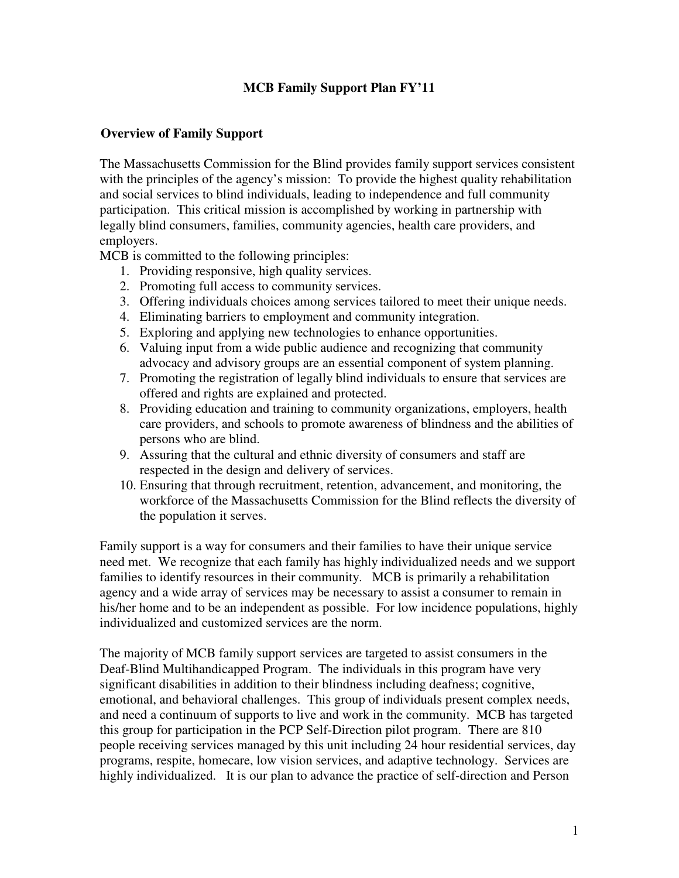# **MCB Family Support Plan FY'11**

### **Overview of Family Support**

The Massachusetts Commission for the Blind provides family support services consistent with the principles of the agency's mission: To provide the highest quality rehabilitation and social services to blind individuals, leading to independence and full community participation. This critical mission is accomplished by working in partnership with legally blind consumers, families, community agencies, health care providers, and employers.

MCB is committed to the following principles:

- 1. Providing responsive, high quality services.
- 2. Promoting full access to community services.
- 3. Offering individuals choices among services tailored to meet their unique needs.
- 4. Eliminating barriers to employment and community integration.
- 5. Exploring and applying new technologies to enhance opportunities.
- 6. Valuing input from a wide public audience and recognizing that community advocacy and advisory groups are an essential component of system planning.
- 7. Promoting the registration of legally blind individuals to ensure that services are offered and rights are explained and protected.
- 8. Providing education and training to community organizations, employers, health care providers, and schools to promote awareness of blindness and the abilities of persons who are blind.
- 9. Assuring that the cultural and ethnic diversity of consumers and staff are respected in the design and delivery of services.
- 10. Ensuring that through recruitment, retention, advancement, and monitoring, the workforce of the Massachusetts Commission for the Blind reflects the diversity of the population it serves.

Family support is a way for consumers and their families to have their unique service need met. We recognize that each family has highly individualized needs and we support families to identify resources in their community. MCB is primarily a rehabilitation agency and a wide array of services may be necessary to assist a consumer to remain in his/her home and to be an independent as possible. For low incidence populations, highly individualized and customized services are the norm.

The majority of MCB family support services are targeted to assist consumers in the Deaf-Blind Multihandicapped Program. The individuals in this program have very significant disabilities in addition to their blindness including deafness; cognitive, emotional, and behavioral challenges. This group of individuals present complex needs, and need a continuum of supports to live and work in the community. MCB has targeted this group for participation in the PCP Self-Direction pilot program. There are 810 people receiving services managed by this unit including 24 hour residential services, day programs, respite, homecare, low vision services, and adaptive technology. Services are highly individualized. It is our plan to advance the practice of self-direction and Person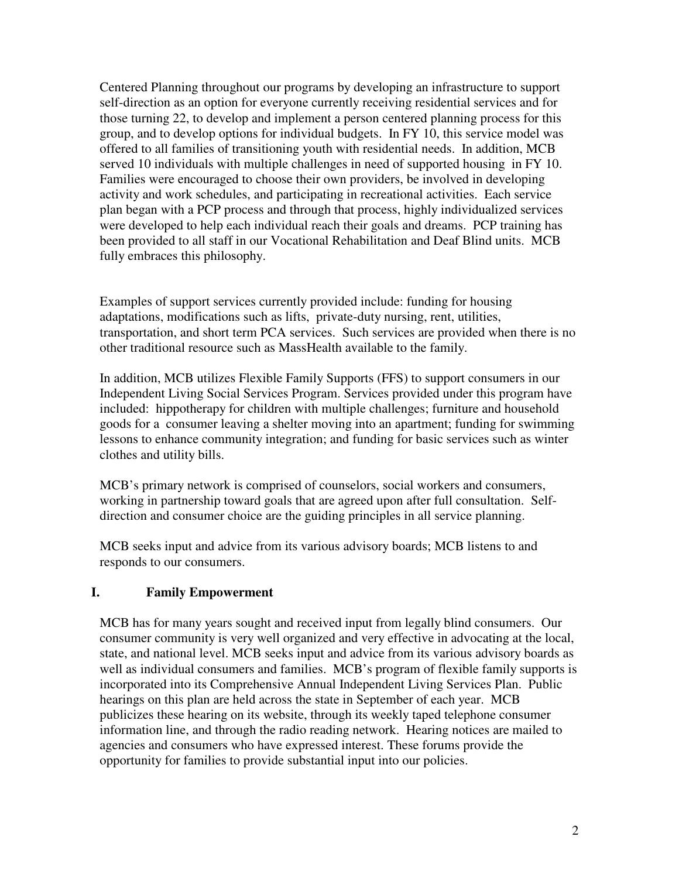Centered Planning throughout our programs by developing an infrastructure to support self-direction as an option for everyone currently receiving residential services and for those turning 22, to develop and implement a person centered planning process for this group, and to develop options for individual budgets. In FY 10, this service model was offered to all families of transitioning youth with residential needs. In addition, MCB served 10 individuals with multiple challenges in need of supported housing in FY 10. Families were encouraged to choose their own providers, be involved in developing activity and work schedules, and participating in recreational activities. Each service plan began with a PCP process and through that process, highly individualized services were developed to help each individual reach their goals and dreams. PCP training has been provided to all staff in our Vocational Rehabilitation and Deaf Blind units. MCB fully embraces this philosophy.

Examples of support services currently provided include: funding for housing adaptations, modifications such as lifts, private-duty nursing, rent, utilities, transportation, and short term PCA services. Such services are provided when there is no other traditional resource such as MassHealth available to the family.

In addition, MCB utilizes Flexible Family Supports (FFS) to support consumers in our Independent Living Social Services Program. Services provided under this program have included: hippotherapy for children with multiple challenges; furniture and household goods for a consumer leaving a shelter moving into an apartment; funding for swimming lessons to enhance community integration; and funding for basic services such as winter clothes and utility bills.

MCB's primary network is comprised of counselors, social workers and consumers, working in partnership toward goals that are agreed upon after full consultation. Selfdirection and consumer choice are the guiding principles in all service planning.

MCB seeks input and advice from its various advisory boards; MCB listens to and responds to our consumers.

# **I. Family Empowerment**

MCB has for many years sought and received input from legally blind consumers. Our consumer community is very well organized and very effective in advocating at the local, state, and national level. MCB seeks input and advice from its various advisory boards as well as individual consumers and families. MCB's program of flexible family supports is incorporated into its Comprehensive Annual Independent Living Services Plan. Public hearings on this plan are held across the state in September of each year. MCB publicizes these hearing on its website, through its weekly taped telephone consumer information line, and through the radio reading network. Hearing notices are mailed to agencies and consumers who have expressed interest. These forums provide the opportunity for families to provide substantial input into our policies.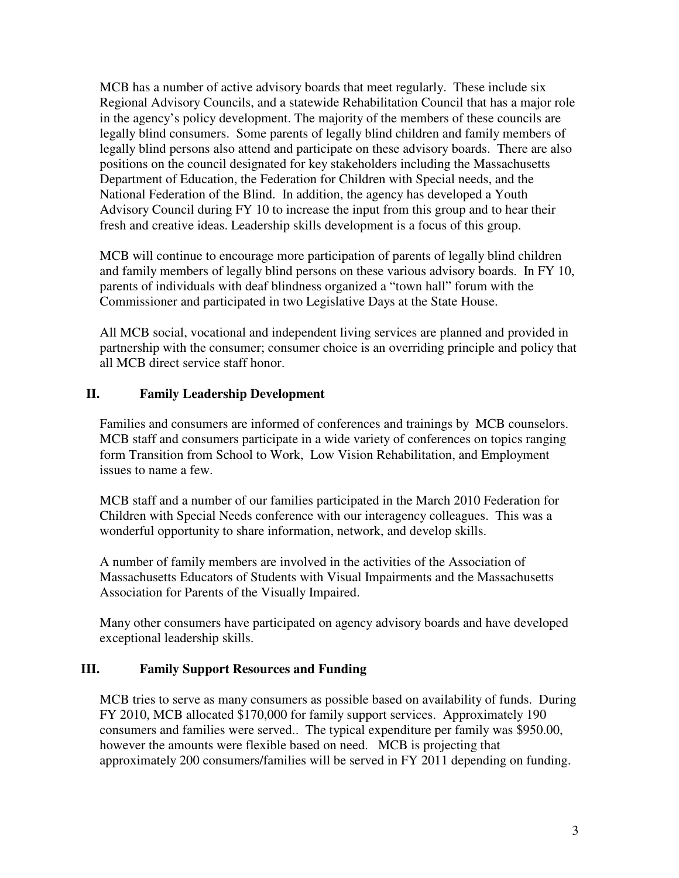MCB has a number of active advisory boards that meet regularly. These include six Regional Advisory Councils, and a statewide Rehabilitation Council that has a major role in the agency's policy development. The majority of the members of these councils are legally blind consumers. Some parents of legally blind children and family members of legally blind persons also attend and participate on these advisory boards. There are also positions on the council designated for key stakeholders including the Massachusetts Department of Education, the Federation for Children with Special needs, and the National Federation of the Blind. In addition, the agency has developed a Youth Advisory Council during FY 10 to increase the input from this group and to hear their fresh and creative ideas. Leadership skills development is a focus of this group.

MCB will continue to encourage more participation of parents of legally blind children and family members of legally blind persons on these various advisory boards. In FY 10, parents of individuals with deaf blindness organized a "town hall" forum with the Commissioner and participated in two Legislative Days at the State House.

All MCB social, vocational and independent living services are planned and provided in partnership with the consumer; consumer choice is an overriding principle and policy that all MCB direct service staff honor.

# **II. Family Leadership Development**

Families and consumers are informed of conferences and trainings by MCB counselors. MCB staff and consumers participate in a wide variety of conferences on topics ranging form Transition from School to Work, Low Vision Rehabilitation, and Employment issues to name a few.

MCB staff and a number of our families participated in the March 2010 Federation for Children with Special Needs conference with our interagency colleagues. This was a wonderful opportunity to share information, network, and develop skills.

A number of family members are involved in the activities of the Association of Massachusetts Educators of Students with Visual Impairments and the Massachusetts Association for Parents of the Visually Impaired.

Many other consumers have participated on agency advisory boards and have developed exceptional leadership skills.

#### **III. Family Support Resources and Funding**

MCB tries to serve as many consumers as possible based on availability of funds. During FY 2010, MCB allocated \$170,000 for family support services. Approximately 190 consumers and families were served.. The typical expenditure per family was \$950.00, however the amounts were flexible based on need. MCB is projecting that approximately 200 consumers/families will be served in FY 2011 depending on funding.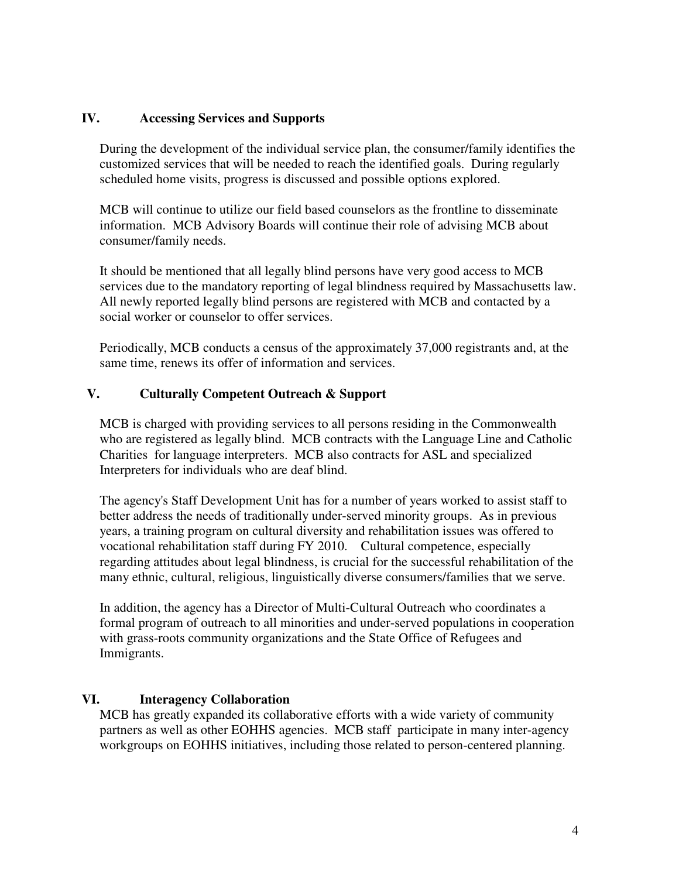### **IV. Accessing Services and Supports**

During the development of the individual service plan, the consumer/family identifies the customized services that will be needed to reach the identified goals. During regularly scheduled home visits, progress is discussed and possible options explored.

MCB will continue to utilize our field based counselors as the frontline to disseminate information. MCB Advisory Boards will continue their role of advising MCB about consumer/family needs.

It should be mentioned that all legally blind persons have very good access to MCB services due to the mandatory reporting of legal blindness required by Massachusetts law. All newly reported legally blind persons are registered with MCB and contacted by a social worker or counselor to offer services.

Periodically, MCB conducts a census of the approximately 37,000 registrants and, at the same time, renews its offer of information and services.

### **V. Culturally Competent Outreach & Support**

MCB is charged with providing services to all persons residing in the Commonwealth who are registered as legally blind. MCB contracts with the Language Line and Catholic Charities for language interpreters. MCB also contracts for ASL and specialized Interpreters for individuals who are deaf blind.

The agency's Staff Development Unit has for a number of years worked to assist staff to better address the needs of traditionally under-served minority groups. As in previous years, a training program on cultural diversity and rehabilitation issues was offered to vocational rehabilitation staff during FY 2010. Cultural competence, especially regarding attitudes about legal blindness, is crucial for the successful rehabilitation of the many ethnic, cultural, religious, linguistically diverse consumers/families that we serve.

In addition, the agency has a Director of Multi-Cultural Outreach who coordinates a formal program of outreach to all minorities and under-served populations in cooperation with grass-roots community organizations and the State Office of Refugees and Immigrants.

#### **VI. Interagency Collaboration**

MCB has greatly expanded its collaborative efforts with a wide variety of community partners as well as other EOHHS agencies. MCB staff participate in many inter-agency workgroups on EOHHS initiatives, including those related to person-centered planning.